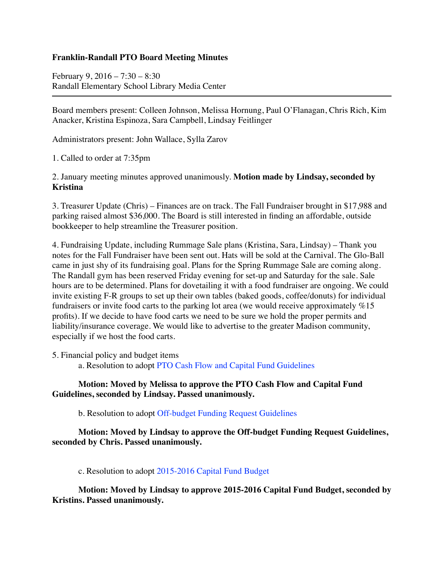## **Franklin-Randall PTO Board Meeting Minutes**

February 9, 2016 – 7:30 – 8:30 Randall Elementary School Library Media Center

Board members present: Colleen Johnson, Melissa Hornung, Paul O'Flanagan, Chris Rich, Kim Anacker, Kristina Espinoza, Sara Campbell, Lindsay Feitlinger

Administrators present: John Wallace, Sylla Zarov

1. Called to order at 7:35pm

2. January meeting minutes approved unanimously. **Motion made by Lindsay, seconded by Kristina**

3. Treasurer Update (Chris) – Finances are on track. The Fall Fundraiser brought in \$17,988 and parking raised almost \$36,000. The Board is still interested in finding an affordable, outside bookkeeper to help streamline the Treasurer position.

4. Fundraising Update, including Rummage Sale plans (Kristina, Sara, Lindsay) – Thank you notes for the Fall Fundraiser have been sent out. Hats will be sold at the Carnival. The Glo-Ball came in just shy of its fundraising goal. Plans for the Spring Rummage Sale are coming along. The Randall gym has been reserved Friday evening for set-up and Saturday for the sale. Sale hours are to be determined. Plans for dovetailing it with a food fundraiser are ongoing. We could invite existing F-R groups to set up their own tables (baked goods, coffee/donuts) for individual fundraisers or invite food carts to the parking lot area (we would receive approximately %15 profits). If we decide to have food carts we need to be sure we hold the proper permits and liability/insurance coverage. We would like to advertise to the greater Madison community, especially if we host the food carts.

5. Financial policy and budget items a. Resolution to adopt PTO Cash Flow and Capital Fund Guidelines

## **Motion: Moved by Melissa to approve the PTO Cash Flow and Capital Fund Guidelines, seconded by Lindsay. Passed unanimously.**

b. Resolution to adopt Off-budget Funding Request Guidelines

## **Motion: Moved by Lindsay to approve the Off-budget Funding Request Guidelines, seconded by Chris. Passed unanimously.**

c. Resolution to adopt 2015-2016 Capital Fund Budget

**Motion: Moved by Lindsay to approve 2015-2016 Capital Fund Budget, seconded by Kristins. Passed unanimously.**